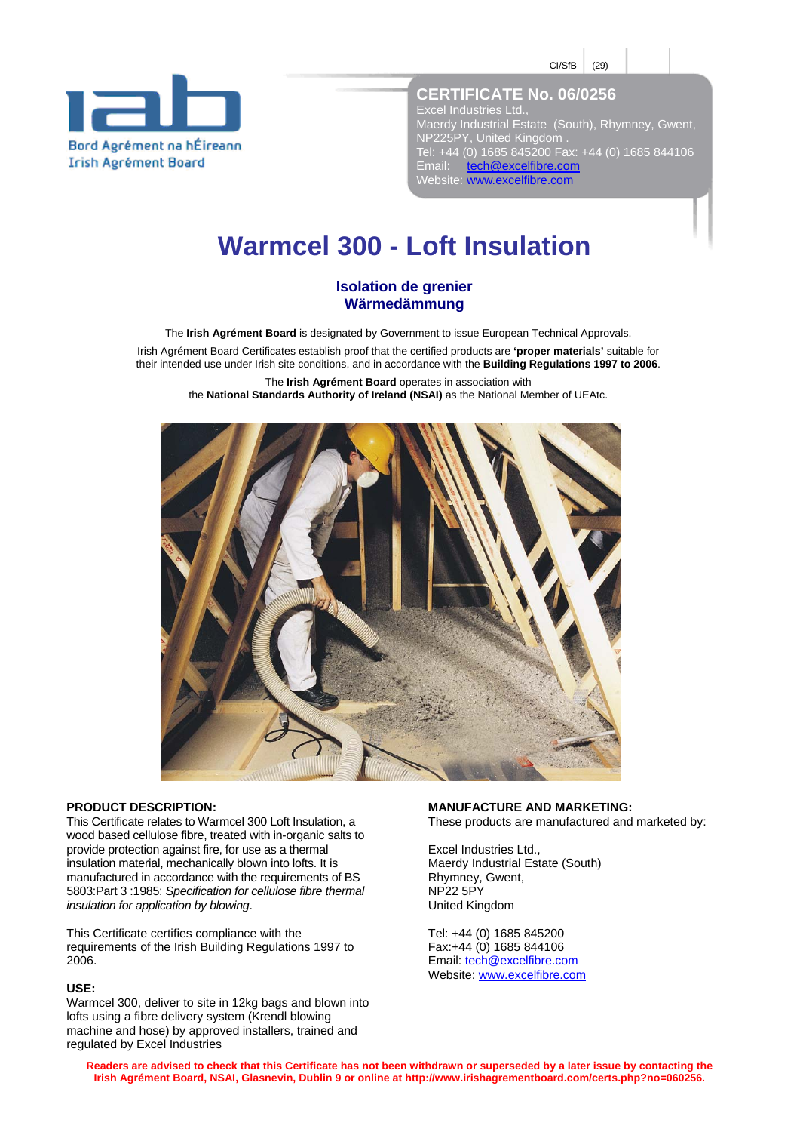$CI/StB$  (29)



**CERTIFICATE No. 06/0256**  Excel Industries Ltd., Maerdy Industrial Estate (South), Rhymney, Gwent, NP225PY, United Kingdom . Tel: +44 (0) 1685 845200 Fax: +44 (0) 1685 844106 Email: tech@excelfibre.com Email: tech@excelfibre.com<br>Website: www.excelfibre.com

# **Warmcel 300 - Loft Insulation**

# **Isolation de grenier Wärmedämmung**

The **Irish Agrément Board** is designated by Government to issue European Technical Approvals.

Irish Agrément Board Certificates establish proof that the certified products are **'proper materials'** suitable for their intended use under Irish site conditions, and in accordance with the **Building Regulations 1997 to 2006**.

The **Irish Agrément Board** operates in association with the **National Standards Authority of Ireland (NSAI)** as the National Member of UEAtc.



### **PRODUCT DESCRIPTION:**

This Certificate relates to Warmcel 300 Loft Insulation, a wood based cellulose fibre, treated with in-organic salts to provide protection against fire, for use as a thermal insulation material, mechanically blown into lofts. It is manufactured in accordance with the requirements of BS 5803:Part 3 :1985: *Specification for cellulose fibre thermal insulation for application by blowing*.

This Certificate certifies compliance with the requirements of the Irish Building Regulations 1997 to 2006.

## **USE:**

Warmcel 300, deliver to site in 12kg bags and blown into lofts using a fibre delivery system (Krendl blowing machine and hose) by approved installers, trained and regulated by Excel Industries

**MANUFACTURE AND MARKETING:**  These products are manufactured and marketed by:

Excel Industries Ltd., Maerdy Industrial Estate (South) Rhymney, Gwent, NP22 5PY United Kingdom

Tel: +44 (0) 1685 845200 Fax:+44 (0) 1685 844106 Email: tech@excelfibre.com Website: www.excelfibre.com

**Readers are advised to check that this Certificate has not been withdrawn or superseded by a later issue by contacting the Irish Agrément Board, NSAI, Glasnevin, Dublin 9 or online at http://www.irishagrementboard.com/certs.php?no=060256.**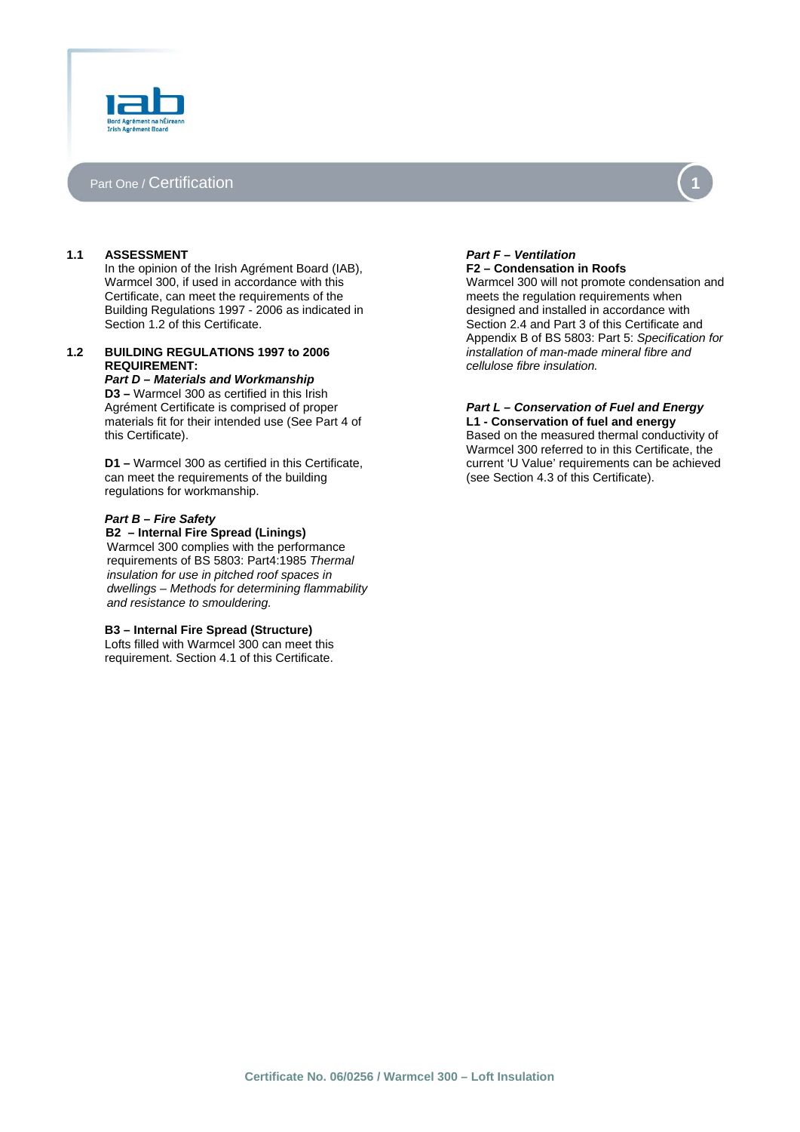

## Part One / Certification



## **1.1 ASSESSMENT**

In the opinion of the Irish Agrément Board (IAB), Warmcel 300, if used in accordance with this Certificate, can meet the requirements of the Building Regulations 1997 - 2006 as indicated in Section 1.2 of this Certificate.

## **1.2 BUILDING REGULATIONS 1997 to 2006 REQUIREMENT:**

*Part D – Materials and Workmanship*  **D3 –** Warmcel 300 as certified in this Irish Agrément Certificate is comprised of proper materials fit for their intended use (See Part 4 of this Certificate).

**D1 –** Warmcel 300 as certified in this Certificate, can meet the requirements of the building regulations for workmanship.

#### *Part B – Fire Safety*

 **B2 – Internal Fire Spread (Linings)**  Warmcel 300 complies with the performance requirements of BS 5803: Part4:1985 *Thermal insulation for use in pitched roof spaces in dwellings – Methods for determining flammability and resistance to smouldering.* 

#### **B3 – Internal Fire Spread (Structure)**

Lofts filled with Warmcel 300 can meet this requirement. Section 4.1 of this Certificate.

#### *Part F – Ventilation*  **F2 – Condensation in Roofs**

Warmcel 300 will not promote condensation and meets the regulation requirements when designed and installed in accordance with Section 2.4 and Part 3 of this Certificate and Appendix B of BS 5803: Part 5: *Specification for installation of man-made mineral fibre and cellulose fibre insulation.*

# *Part L – Conservation of Fuel and Energy*

**L1 - Conservation of fuel and energy**  Based on the measured thermal conductivity of Warmcel 300 referred to in this Certificate, the current 'U Value' requirements can be achieved (see Section 4.3 of this Certificate).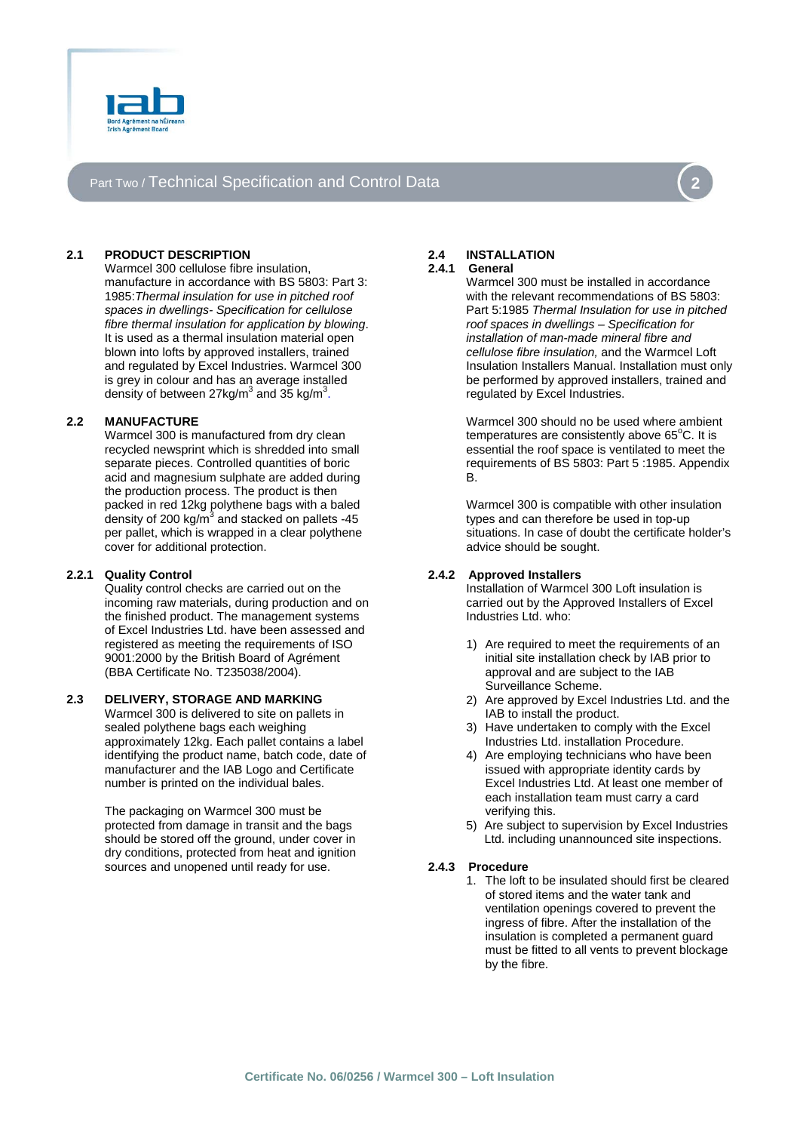

# Part Two / Technical Specification and Control Data



## **2.1 PRODUCT DESCRIPTION**

Warmcel 300 cellulose fibre insulation, manufacture in accordance with BS 5803: Part 3: 1985:*Thermal insulation for use in pitched roof spaces in dwellings- Specification for cellulose fibre thermal insulation for application by blowing*. It is used as a thermal insulation material open blown into lofts by approved installers, trained and regulated by Excel Industries. Warmcel 300 is grey in colour and has an average installed density of between 27kg/m<sup>3</sup> and  $35$  kg/m<sup>3</sup>.

## **2.2 MANUFACTURE**

Warmcel 300 is manufactured from dry clean recycled newsprint which is shredded into small separate pieces. Controlled quantities of boric acid and magnesium sulphate are added during the production process. The product is then packed in red 12kg polythene bags with a baled density of 200 kg/ $\overline{m}^3$  and stacked on pallets -45 per pallet, which is wrapped in a clear polythene cover for additional protection.

### **2.2.1 Quality Control**

Quality control checks are carried out on the incoming raw materials, during production and on the finished product. The management systems of Excel Industries Ltd. have been assessed and registered as meeting the requirements of ISO 9001:2000 by the British Board of Agrément (BBA Certificate No. T235038/2004).

## **2.3 DELIVERY, STORAGE AND MARKING**

Warmcel 300 is delivered to site on pallets in sealed polythene bags each weighing approximately 12kg. Each pallet contains a label identifying the product name, batch code, date of manufacturer and the IAB Logo and Certificate number is printed on the individual bales.

The packaging on Warmcel 300 must be protected from damage in transit and the bags should be stored off the ground, under cover in dry conditions, protected from heat and ignition sources and unopened until ready for use.

# **2.4 INSTALLATION**

**2.4.1 General** 

Warmcel 300 must be installed in accordance with the relevant recommendations of BS 5803: Part 5:1985 *Thermal Insulation for use in pitched roof spaces in dwellings – Specification for installation of man-made mineral fibre and cellulose fibre insulation,* and the Warmcel Loft Insulation Installers Manual. Installation must only be performed by approved installers, trained and regulated by Excel Industries.

Warmcel 300 should no be used where ambient  $temperatures$  are consistently above  $65^{\circ}$ C. It is essential the roof space is ventilated to meet the requirements of BS 5803: Part 5 :1985. Appendix B.

Warmcel 300 is compatible with other insulation types and can therefore be used in top-up situations. In case of doubt the certificate holder's advice should be sought.

## **2.4.2 Approved Installers**

Installation of Warmcel 300 Loft insulation is carried out by the Approved Installers of Excel Industries Ltd. who:

- 1) Are required to meet the requirements of an initial site installation check by IAB prior to approval and are subject to the IAB Surveillance Scheme.
- 2) Are approved by Excel Industries Ltd. and the IAB to install the product.
- 3) Have undertaken to comply with the Excel Industries Ltd. installation Procedure.
- 4) Are employing technicians who have been issued with appropriate identity cards by Excel Industries Ltd. At least one member of each installation team must carry a card verifying this.
- 5) Are subject to supervision by Excel Industries Ltd. including unannounced site inspections.

## **2.4.3 Procedure**

1. The loft to be insulated should first be cleared of stored items and the water tank and ventilation openings covered to prevent the ingress of fibre. After the installation of the insulation is completed a permanent guard must be fitted to all vents to prevent blockage by the fibre.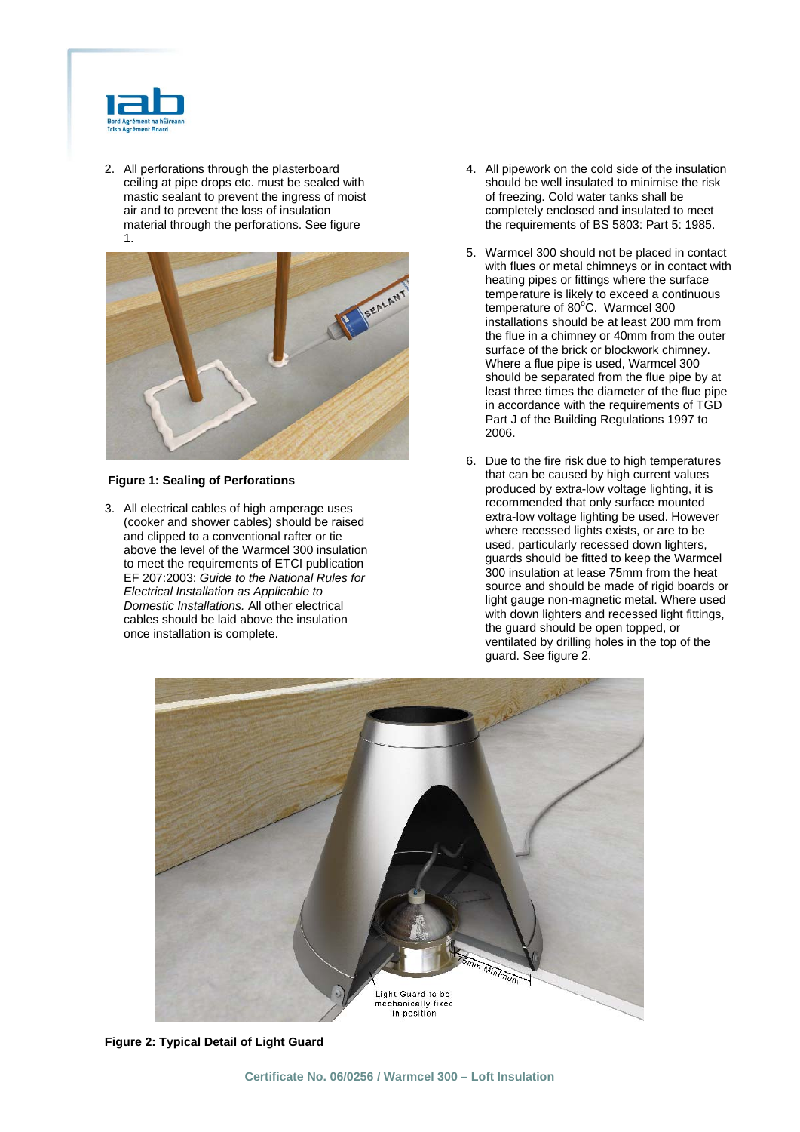

2. All perforations through the plasterboard ceiling at pipe drops etc. must be sealed with mastic sealant to prevent the ingress of moist air and to prevent the loss of insulation material through the perforations. See figure 1.



## **Figure 1: Sealing of Perforations**

3. All electrical cables of high amperage uses (cooker and shower cables) should be raised and clipped to a conventional rafter or tie above the level of the Warmcel 300 insulation to meet the requirements of ETCI publication EF 207:2003: *Guide to the National Rules for Electrical Installation as Applicable to Domestic Installations.* All other electrical cables should be laid above the insulation once installation is complete.

- 4. All pipework on the cold side of the insulation should be well insulated to minimise the risk of freezing. Cold water tanks shall be completely enclosed and insulated to meet the requirements of BS 5803: Part 5: 1985.
- 5. Warmcel 300 should not be placed in contact with flues or metal chimneys or in contact with heating pipes or fittings where the surface temperature is likely to exceed a continuous temperature of 80°C. Warmcel 300 installations should be at least 200 mm from the flue in a chimney or 40mm from the outer surface of the brick or blockwork chimney. Where a flue pipe is used, Warmcel 300 should be separated from the flue pipe by at least three times the diameter of the flue pipe in accordance with the requirements of TGD Part J of the Building Regulations 1997 to 2006.
- 6. Due to the fire risk due to high temperatures that can be caused by high current values produced by extra-low voltage lighting, it is recommended that only surface mounted extra-low voltage lighting be used. However where recessed lights exists, or are to be used, particularly recessed down lighters, guards should be fitted to keep the Warmcel 300 insulation at lease 75mm from the heat source and should be made of rigid boards or light gauge non-magnetic metal. Where used with down lighters and recessed light fittings, the guard should be open topped, or ventilated by drilling holes in the top of the guard. See figure 2.



 **Figure 2: Typical Detail of Light Guard**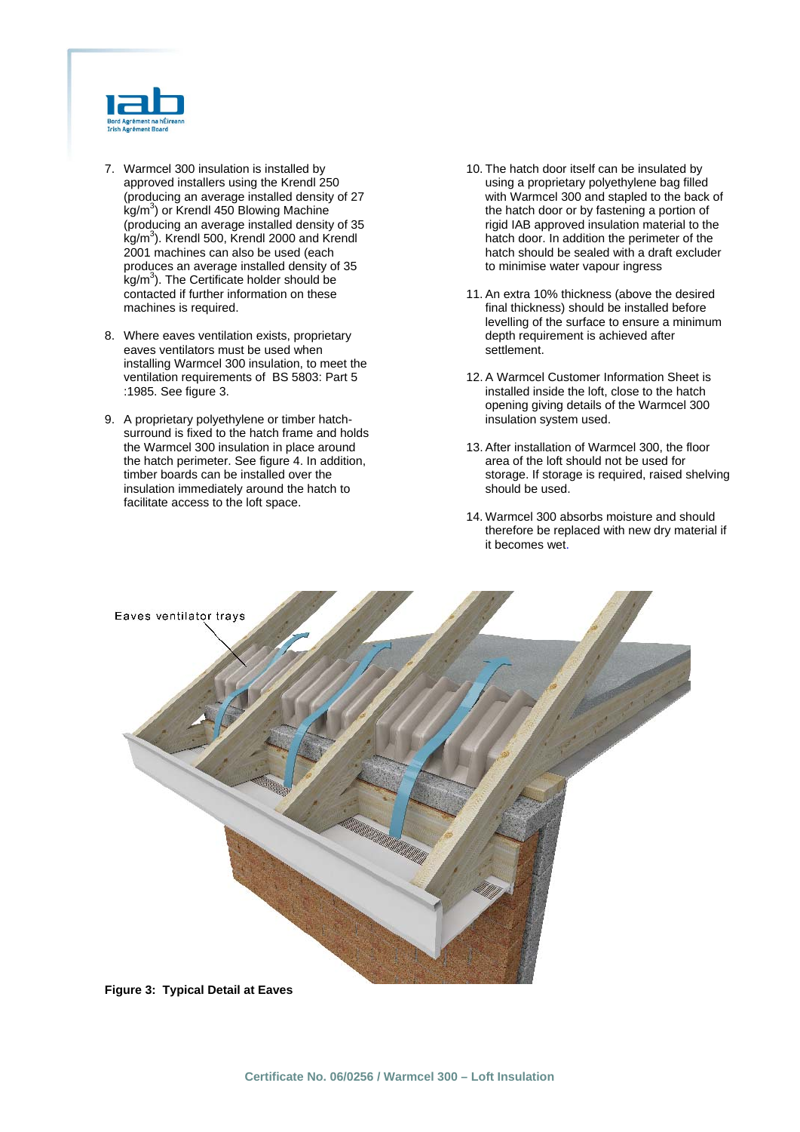

- 7. Warmcel 300 insulation is installed by approved installers using the Krendl 250 (producing an average installed density of 27  $\text{kg/m}^3$ ) or Krendl 450 Blowing Machine (producing an average installed density of 35 kg/m3 ). Krendl 500, Krendl 2000 and Krendl 2001 machines can also be used (each produces an average installed density of 35 kg/m<sup>3</sup>). The Certificate holder should be contacted if further information on these machines is required.
- 8. Where eaves ventilation exists, proprietary eaves ventilators must be used when installing Warmcel 300 insulation, to meet the ventilation requirements of BS 5803: Part 5 :1985. See figure 3.
- 9. A proprietary polyethylene or timber hatchsurround is fixed to the hatch frame and holds the Warmcel 300 insulation in place around the hatch perimeter. See figure 4. In addition, timber boards can be installed over the insulation immediately around the hatch to facilitate access to the loft space.
- 10. The hatch door itself can be insulated by using a proprietary polyethylene bag filled with Warmcel 300 and stapled to the back of the hatch door or by fastening a portion of rigid IAB approved insulation material to the hatch door. In addition the perimeter of the hatch should be sealed with a draft excluder to minimise water vapour ingress
- 11. An extra 10% thickness (above the desired final thickness) should be installed before levelling of the surface to ensure a minimum depth requirement is achieved after settlement.
- 12. A Warmcel Customer Information Sheet is installed inside the loft, close to the hatch opening giving details of the Warmcel 300 insulation system used.
- 13. After installation of Warmcel 300, the floor area of the loft should not be used for storage. If storage is required, raised shelving should be used.
- 14. Warmcel 300 absorbs moisture and should therefore be replaced with new dry material if it becomes wet.



 **Figure 3: Typical Detail at Eaves**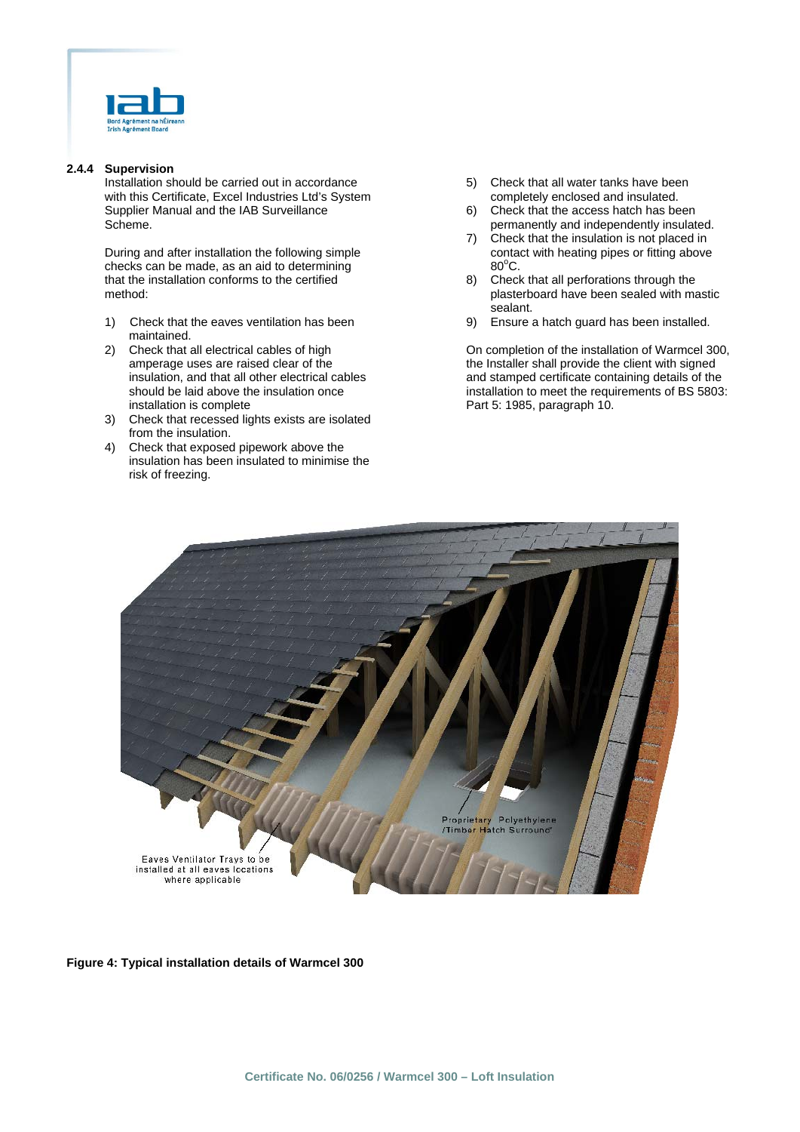

## **2.4.4 Supervision**

Installation should be carried out in accordance with this Certificate, Excel Industries Ltd's System Supplier Manual and the IAB Surveillance Scheme.

During and after installation the following simple checks can be made, as an aid to determining that the installation conforms to the certified method:

- 1) Check that the eaves ventilation has been maintained.
- 2) Check that all electrical cables of high amperage uses are raised clear of the insulation, and that all other electrical cables should be laid above the insulation once installation is complete
- 3) Check that recessed lights exists are isolated from the insulation.
- 4) Check that exposed pipework above the insulation has been insulated to minimise the risk of freezing.
- 5) Check that all water tanks have been completely enclosed and insulated.
- 6) Check that the access hatch has been permanently and independently insulated.
- 7) Check that the insulation is not placed in contact with heating pipes or fitting above 80°C.
- 8) Check that all perforations through the plasterboard have been sealed with mastic sealant.
- 9) Ensure a hatch guard has been installed.

On completion of the installation of Warmcel 300, the Installer shall provide the client with signed and stamped certificate containing details of the installation to meet the requirements of BS 5803: Part 5: 1985, paragraph 10.



**Figure 4: Typical installation details of Warmcel 300**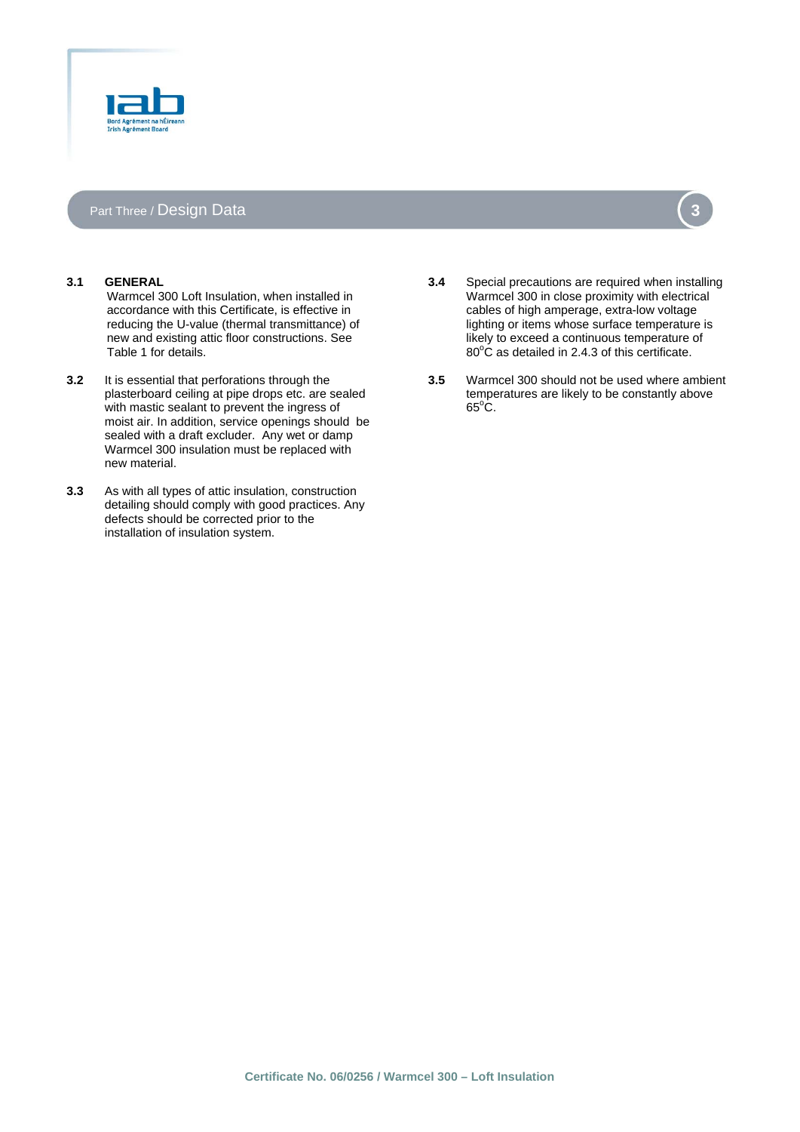

# Part Three / **Design Data 3 3**

### **3.1 GENERAL**

Warmcel 300 Loft Insulation, when installed in accordance with this Certificate, is effective in reducing the U-value (thermal transmittance) of new and existing attic floor constructions. See Table 1 for details.

- **3.2** It is essential that perforations through the plasterboard ceiling at pipe drops etc. are sealed with mastic sealant to prevent the ingress of moist air. In addition, service openings should be sealed with a draft excluder. Any wet or damp Warmcel 300 insulation must be replaced with new material.
- **3.3** As with all types of attic insulation, construction detailing should comply with good practices. Any defects should be corrected prior to the installation of insulation system.
- **3.4** Special precautions are required when installing Warmcel 300 in close proximity with electrical cables of high amperage, extra-low voltage lighting or items whose surface temperature is likely to exceed a continuous temperature of
- **3.5** Warmcel 300 should not be used where ambient temperatures are likely to be constantly above  $65^{\circ}$ C.

 $80^{\circ}$ C as detailed in 2.4.3 of this certificate.

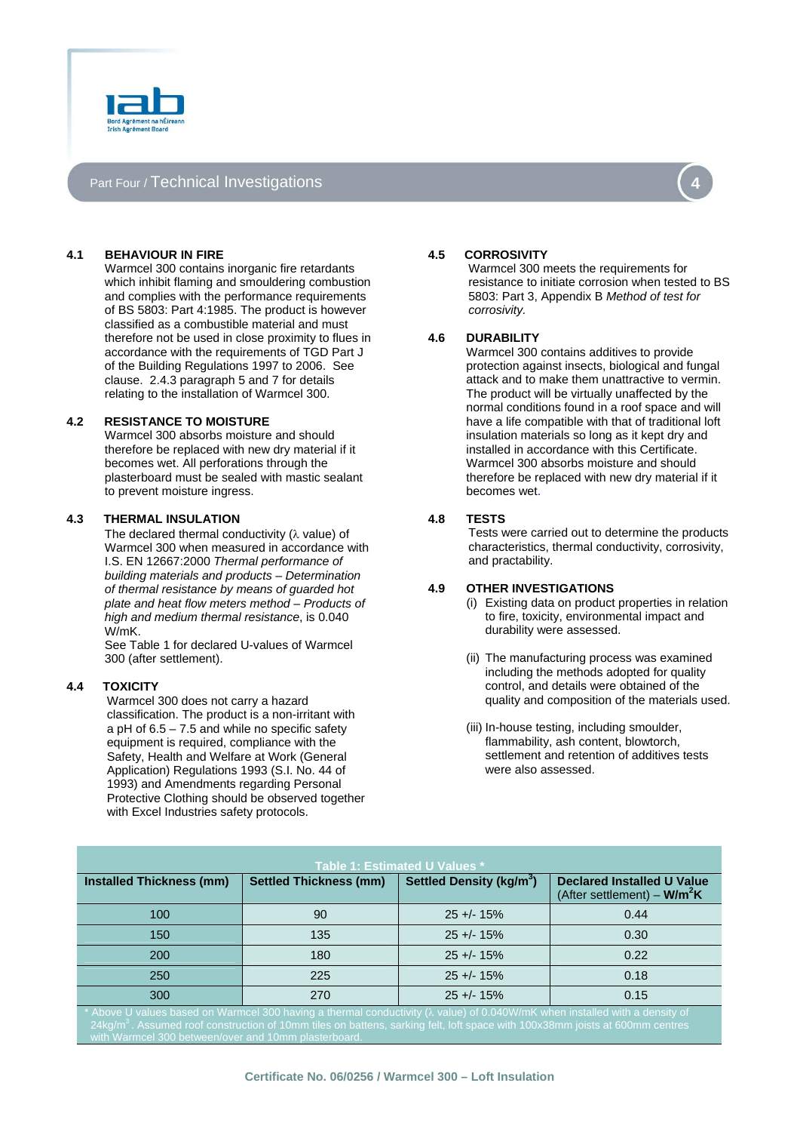

# Part Four / Technical Investigations



### **4.1 BEHAVIOUR IN FIRE**

Warmcel 300 contains inorganic fire retardants which inhibit flaming and smouldering combustion and complies with the performance requirements of BS 5803: Part 4:1985. The product is however classified as a combustible material and must therefore not be used in close proximity to flues in accordance with the requirements of TGD Part J of the Building Regulations 1997 to 2006. See clause. 2.4.3 paragraph 5 and 7 for details relating to the installation of Warmcel 300.

## **4.2 RESISTANCE TO MOISTURE**

Warmcel 300 absorbs moisture and should therefore be replaced with new dry material if it becomes wet. All perforations through the plasterboard must be sealed with mastic sealant to prevent moisture ingress.

#### **4.3 THERMAL INSULATION**

The declared thermal conductivity (λ value) of Warmcel 300 when measured in accordance with I.S. EN 12667:2000 *Thermal performance of building materials and products – Determination of thermal resistance by means of guarded hot plate and heat flow meters method – Products of high and medium thermal resistance*, is 0.040 W/mK.

 See Table 1 for declared U-values of Warmcel 300 (after settlement).

### **4.4 TOXICITY**

Warmcel 300 does not carry a hazard classification. The product is a non-irritant with a pH of  $6.5 - 7.5$  and while no specific safety equipment is required, compliance with the Safety, Health and Welfare at Work (General Application) Regulations 1993 (S.I. No. 44 of 1993) and Amendments regarding Personal Protective Clothing should be observed together with Excel Industries safety protocols.

#### **4.5 CORROSIVITY**

Warmcel 300 meets the requirements for resistance to initiate corrosion when tested to BS 5803: Part 3, Appendix B *Method of test for corrosivity.*

#### **4.6 DURABILITY**

Warmcel 300 contains additives to provide protection against insects, biological and fungal attack and to make them unattractive to vermin. The product will be virtually unaffected by the normal conditions found in a roof space and will have a life compatible with that of traditional loft insulation materials so long as it kept dry and installed in accordance with this Certificate. Warmcel 300 absorbs moisture and should therefore be replaced with new dry material if it becomes wet.

#### **4.8 TESTS**

Tests were carried out to determine the products characteristics, thermal conductivity, corrosivity, and practability.

#### **4.9 OTHER INVESTIGATIONS**

- (i) Existing data on product properties in relation to fire, toxicity, environmental impact and durability were assessed.
- (ii) The manufacturing process was examined including the methods adopted for quality control, and details were obtained of the quality and composition of the materials used.
- (iii) In-house testing, including smoulder, flammability, ash content, blowtorch, settlement and retention of additives tests were also assessed.

| Table 1: Estimated U Values *                                                                                               |                               |                                      |                                                                    |
|-----------------------------------------------------------------------------------------------------------------------------|-------------------------------|--------------------------------------|--------------------------------------------------------------------|
| <b>Installed Thickness (mm)</b>                                                                                             | <b>Settled Thickness (mm)</b> | Settled Density (kg/m <sup>3</sup> ) | <b>Declared Installed U Value</b><br>(After settlement) – $W/m^2K$ |
| 100                                                                                                                         | 90                            | $25 + 15%$                           | 0.44                                                               |
| 150                                                                                                                         | 135                           | $25 + 15%$                           | 0.30                                                               |
| 200                                                                                                                         | 180                           | $25 + 15%$                           | 0.22                                                               |
| 250                                                                                                                         | 225                           | $25 + 15%$                           | 0.18                                                               |
| 300                                                                                                                         | 270                           | $25 + 15%$                           | 0.15                                                               |
| * Above U values based on Warmcel 300 having a thermal conductivity () value) of 0.040W/mK when installed with a density of |                               |                                      |                                                                    |

\* Above U values based on Warmcel 300 having a thermal conductivity (λ value) of 0.040W/mK when installed with a density of<br>24kg/m<sup>3</sup>. Assumed roof construction of 10mm tiles on battens, sarking felt, loft space with 100 en/over and 10mm p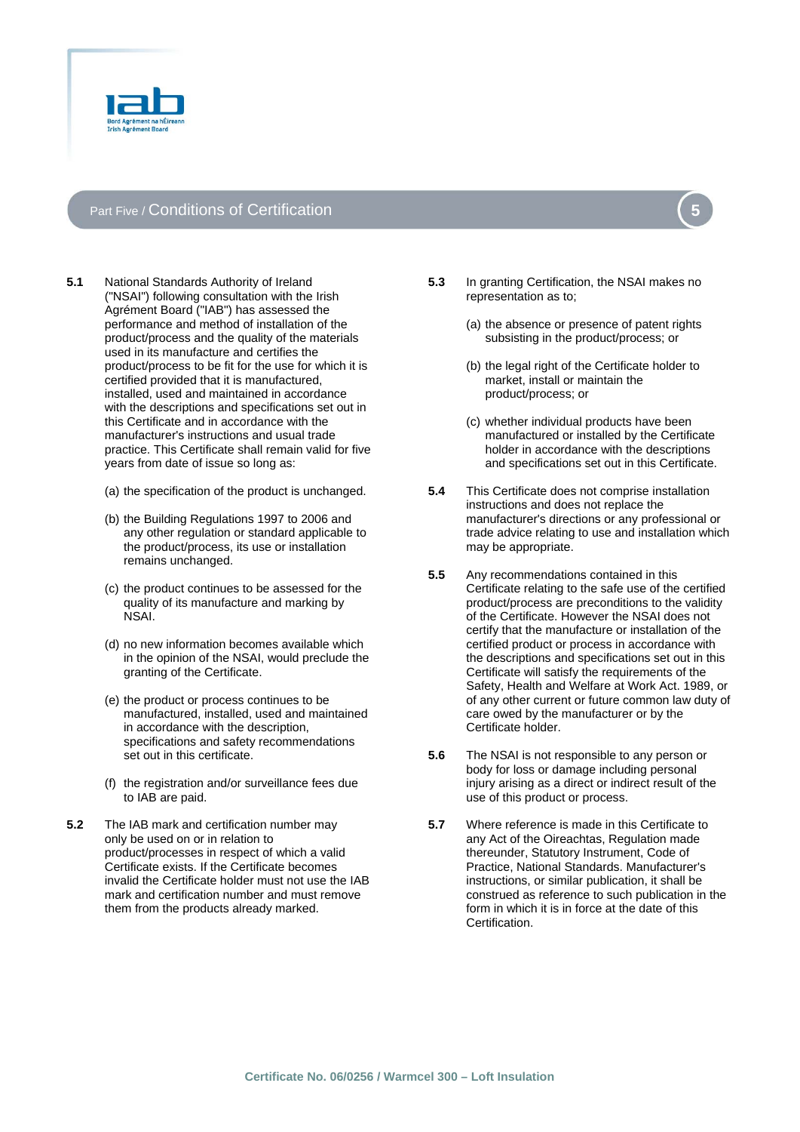

# Part Five / Conditions of Certification

- **5.1** National Standards Authority of Ireland ("NSAI") following consultation with the Irish Agrément Board ("IAB") has assessed the performance and method of installation of the product/process and the quality of the materials used in its manufacture and certifies the product/process to be fit for the use for which it is certified provided that it is manufactured, installed, used and maintained in accordance with the descriptions and specifications set out in this Certificate and in accordance with the manufacturer's instructions and usual trade practice. This Certificate shall remain valid for five years from date of issue so long as:
	- (a) the specification of the product is unchanged.
	- (b) the Building Regulations 1997 to 2006 and any other regulation or standard applicable to the product/process, its use or installation remains unchanged.
	- (c) the product continues to be assessed for the quality of its manufacture and marking by NSAI.
	- (d) no new information becomes available which in the opinion of the NSAI, would preclude the granting of the Certificate.
	- (e) the product or process continues to be manufactured, installed, used and maintained in accordance with the description, specifications and safety recommendations set out in this certificate.
	- (f) the registration and/or surveillance fees due to IAB are paid.
- **5.2** The IAB mark and certification number may only be used on or in relation to product/processes in respect of which a valid Certificate exists. If the Certificate becomes invalid the Certificate holder must not use the IAB mark and certification number and must remove them from the products already marked.
- **5.3** In granting Certification, the NSAI makes no representation as to;
	- (a) the absence or presence of patent rights subsisting in the product/process; or
	- (b) the legal right of the Certificate holder to market, install or maintain the product/process; or
	- (c) whether individual products have been manufactured or installed by the Certificate holder in accordance with the descriptions and specifications set out in this Certificate.
- **5.4** This Certificate does not comprise installation instructions and does not replace the manufacturer's directions or any professional or trade advice relating to use and installation which may be appropriate.
- **5.5** Any recommendations contained in this Certificate relating to the safe use of the certified product/process are preconditions to the validity of the Certificate. However the NSAI does not certify that the manufacture or installation of the certified product or process in accordance with the descriptions and specifications set out in this Certificate will satisfy the requirements of the Safety, Health and Welfare at Work Act. 1989, or of any other current or future common law duty of care owed by the manufacturer or by the Certificate holder.
- **5.6** The NSAI is not responsible to any person or body for loss or damage including personal injury arising as a direct or indirect result of the use of this product or process.
- **5.7** Where reference is made in this Certificate to any Act of the Oireachtas, Regulation made thereunder, Statutory Instrument, Code of Practice, National Standards. Manufacturer's instructions, or similar publication, it shall be construed as reference to such publication in the form in which it is in force at the date of this Certification.